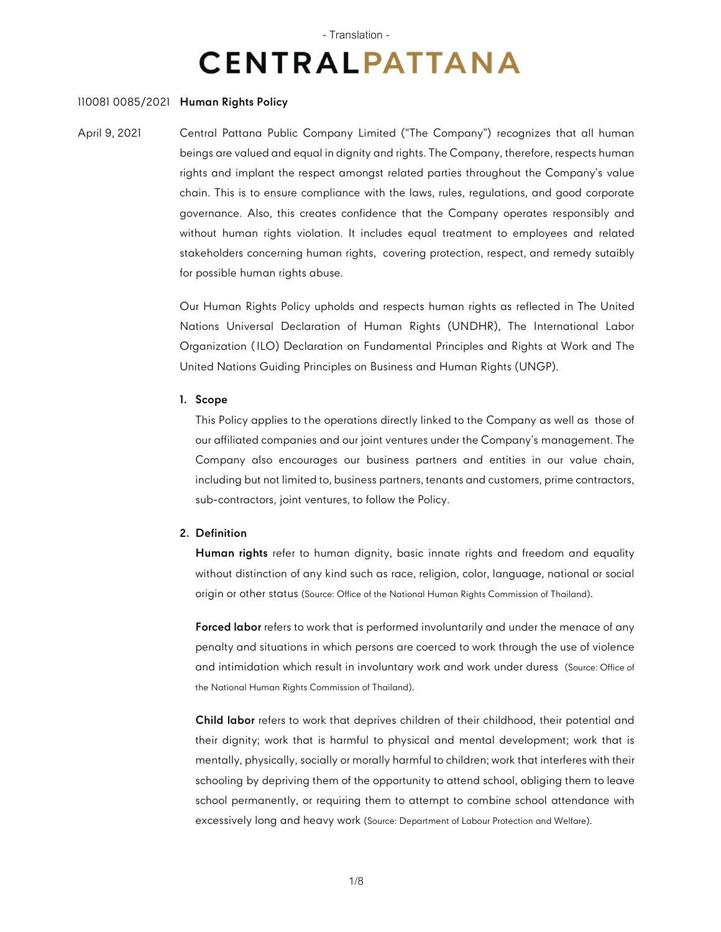# - Translation - **CENTRALPATTANA**

## 110081 0085/2021 **Human Rights Policy**

April 9, 2021 Central Pattana Public Company Limited ("The Company") recognizes that all human beings are valued and equal in dignity and rights. The Company, therefore, respects human rights and implant the respect amongst related parties throughout the Company's value chain. This is to ensure compliance with the laws, rules, regulations, and good corporate governance. Also, this creates confidence that the Company operates responsibly and without human rights violation. It includes equal treatment to employees and related stakeholders concerning human rights, covering protection, respect, and remedy sutaibly for possible human rights abuse.

> Our Human Rights Policy upholds and respects human rights as reflected in The United Nations Universal Declaration of Human Rights (UNDHR), The International Labor Organization (ILO) Declaration on Fundamental Principles and Rights at Work and The United Nations Guiding Principles on Business and Human Rights (UNGP).

## **1. Scope**

This Policy applies to the operations directly linked to the Company as well as those of our affiliated companies and our joint ventures under the Company's management. The Company also encourages our business partners and entities in our value chain, including but not limited to, business partners, tenants and customers, prime contractors, sub-contractors, joint ventures, to follow the Policy.

# **2. Definition**

**Human rights** refer to human dignity, basic innate rights and freedom and equality without distinction of any kind such as race, religion, color, language, national or social origin or other status (Source: Office of the National Human Rights Commission of Thailand).

**Forced labor** refers to work that is performed involuntarily and under the menace of any penalty and situations in which persons are coerced to work through the use of violence and intimidation which result in involuntary work and work under duress (Source: Office of the National Human Rights Commission of Thailand).

**Child labor** refers to work that deprives children of their childhood, their potential and their dignity; work that is harmful to physical and mental development; work that is mentally, physically, socially or morally harmful to children; work that interferes with their schooling by depriving them of the opportunity to attend school, obliging them to leave school permanently, or requiring them to attempt to combine school attendance with excessively long and heavy work (Source: Department of Labour Protection and Welfare).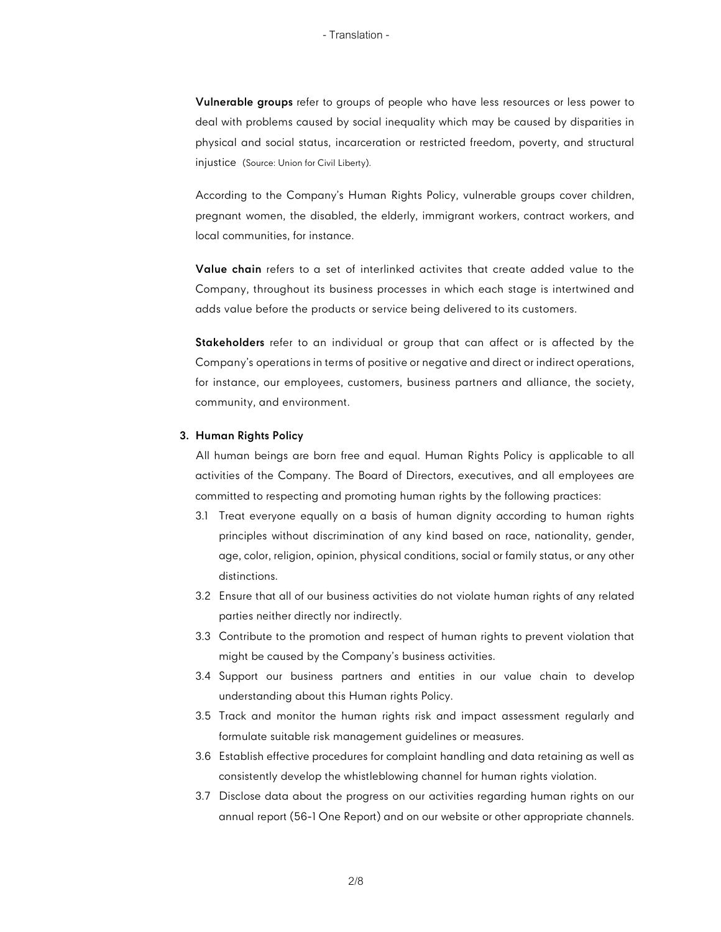**Vulnerable groups** refer to groups of people who have less resources or less power to deal with problems caused by social inequality which may be caused by disparities in physical and social status, incarceration or restricted freedom, poverty, and structural injustice (Source: Union for Civil Liberty).

According to the Company's Human Rights Policy, vulnerable groups cover children, pregnant women, the disabled, the elderly, immigrant workers, contract workers, and local communities, for instance.

**Value chain** refers to a set of interlinked activites that create added value to the Company, throughout its business processes in which each stage is intertwined and adds value before the products or service being delivered to its customers.

**Stakeholders** refer to an individual or group that can affect or is affected by the Company's operations in terms of positive or negative and direct or indirect operations, for instance, our employees, customers, business partners and alliance, the society, community, and environment.

## **3. Human Rights Policy**

All human beings are born free and equal. Human Rights Policy is applicable to all activities of the Company. The Board of Directors, executives, and all employees are committed to respecting and promoting human rights by the following practices:

- 3.1 Treat everyone equally on a basis of human dignity according to human rights principles without discrimination of any kind based on race, nationality, gender, age, color, religion, opinion, physical conditions, social or family status, or any other distinctions.
- 3.2 Ensure that all of our business activities do not violate human rights of any related parties neither directly nor indirectly.
- 3.3 Contribute to the promotion and respect of human rights to prevent violation that might be caused by the Company's business activities.
- 3.4 Support our business partners and entities in our value chain to develop understanding about this Human rights Policy.
- 3.5 Track and monitor the human rights risk and impact assessment regularly and formulate suitable risk management guidelines or measures.
- 3.6 Establish effective procedures for complaint handling and data retaining as well as consistently develop the whistleblowing channel for human rights violation.
- 3.7 Disclose data about the progress on our activities regarding human rights on our annual report (56-1 One Report) and on our website or other appropriate channels.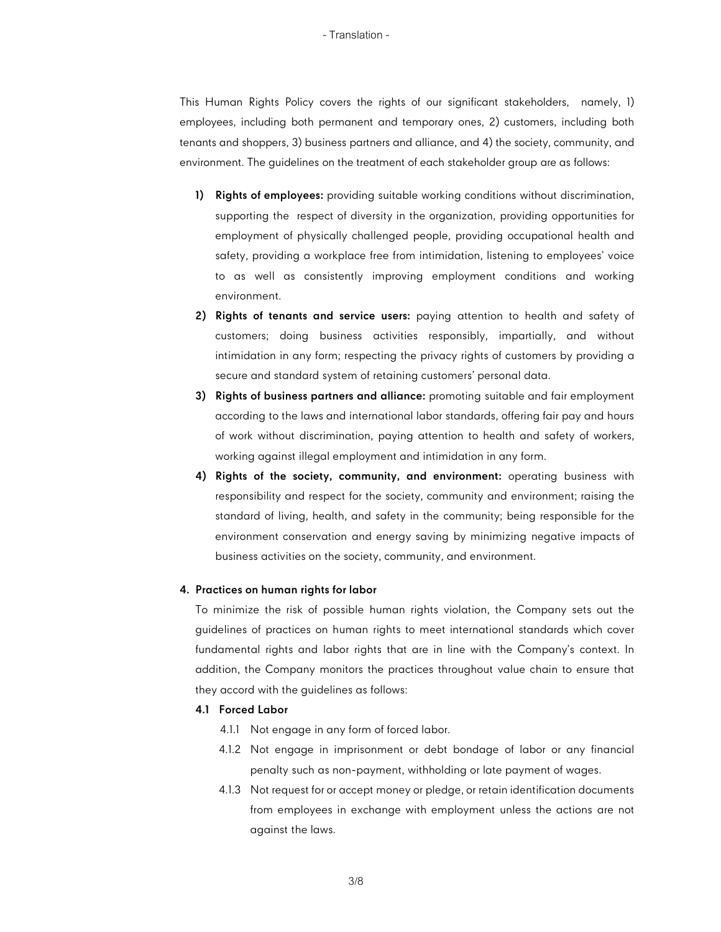#### - Translation -

This Human Rights Policy covers the rights of our significant stakeholders, namely, 1) employees, including both permanent and temporary ones, 2) customers, including both tenants and shoppers, 3) business partners and alliance, and 4) the society, community, and environment. The guidelines on the treatment of each stakeholder group are as follows:

- **1) Rights of employees:** providing suitable working conditions without discrimination, supporting the respect of diversity in the organization, providing opportunities for employment of physically challenged people, providing occupational health and safety, providing a workplace free from intimidation, listening to employees' voice to as well as consistently improving employment conditions and working environment.
- **2) Rights of tenants and service users:** paying attention to health and safety of customers; doing business activities responsibly, impartially, and without intimidation in any form; respecting the privacy rights of customers by providing a secure and standard system of retaining customers' personal data.
- **3) Rights of business partners and alliance:** promoting suitable and fair employment according to the laws and international labor standards, offering fair pay and hours of work without discrimination, paying attention to health and safety of workers, working against illegal employment and intimidation in any form.
- **4) Rights of the society, community, and environment:** operating business with responsibility and respect for the society, community and environment; raising the standard of living, health, and safety in the community; being responsible for the environment conservation and energy saving by minimizing negative impacts of business activities on the society, community, and environment.

#### **4. Practices on human rights for labor**

To minimize the risk of possible human rights violation, the Company sets out the guidelines of practices on human rights to meet international standards which cover fundamental rights and labor rights that are in line with the Company's context. In addition, the Company monitors the practices throughout value chain to ensure that they accord with the guidelines as follows:

#### **4.1 Forced Labor**

- 4.1.1 Not engage in any form of forced labor.
- 4.1.2 Not engage in imprisonment or debt bondage of labor or any financial penalty such as non-payment, withholding or late payment of wages.
- 4.1.3 Not request for or accept money or pledge, or retain identification documents from employees in exchange with employment unless the actions are not against the laws.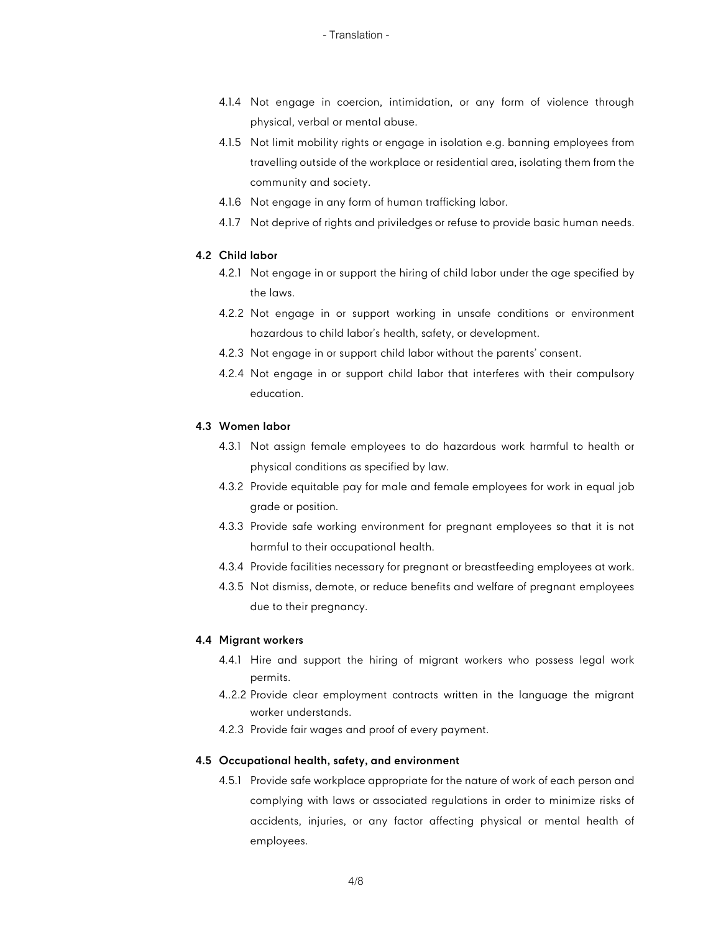- 4.1.4 Not engage in coercion, intimidation, or any form of violence through physical, verbal or mental abuse.
- 4.1.5 Not limit mobility rights or engage in isolation e.g. banning employees from travelling outside of the workplace or residential area, isolating them from the community and society.
- 4.1.6 Not engage in any form of human trafficking labor.
- 4.1.7 Not deprive of rights and priviledges or refuse to provide basic human needs.

# **4.2 Child labor**

- 4.2.1 Not engage in or support the hiring of child labor under the age specified by the laws.
- 4.2.2 Not engage in or support working in unsafe conditions or environment hazardous to child labor's health, safety, or development.
- 4.2.3 Not engage in or support child labor without the parents' consent.
- 4.2.4 Not engage in or support child labor that interferes with their compulsory education.

## **4.3 Women labor**

- 4.3.1 Not assign female employees to do hazardous work harmful to health or physical conditions as specified by law.
- 4.3.2 Provide equitable pay for male and female employees for work in equal job grade or position.
- 4.3.3 Provide safe working environment for pregnant employees so that it is not harmful to their occupational health.
- 4.3.4 Provide facilities necessary for pregnant or breastfeeding employees at work.
- 4.3.5 Not dismiss, demote, or reduce benefits and welfare of pregnant employees due to their pregnancy.

## **4.4 Migrant workers**

- 4.4.1 Hire and support the hiring of migrant workers who possess legal work permits.
- 4..2.2 Provide clear employment contracts written in the language the migrant worker understands.
- 4.2.3 Provide fair wages and proof of every payment.

## **4.5 Occupational health, safety, and environment**

4.5.1 Provide safe workplace appropriate for the nature of work of each person and complying with laws or associated regulations in order to minimize risks of accidents, injuries, or any factor affecting physical or mental health of employees.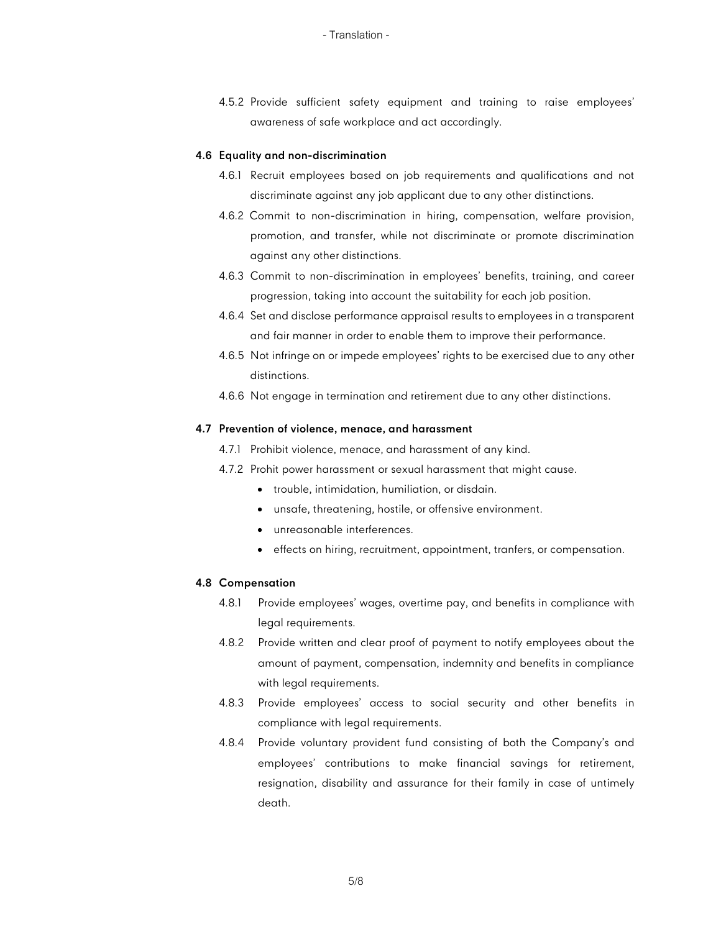4.5.2 Provide sufficient safety equipment and training to raise employees' awareness of safe workplace and act accordingly.

#### **4.6 Equality and non-discrimination**

- 4.6.1 Recruit employees based on job requirements and qualifications and not discriminate against any job applicant due to any other distinctions.
- 4.6.2 Commit to non-discrimination in hiring, compensation, welfare provision, promotion, and transfer, while not discriminate or promote discrimination against any other distinctions.
- 4.6.3 Commit to non-discrimination in employees' benefits, training, and career progression, taking into account the suitability for each job position.
- 4.6.4 Set and disclose performance appraisal results to employees in a transparent and fair manner in order to enable them to improve their performance.
- 4.6.5 Not infringe on or impede employees' rights to be exercised due to any other distinctions.
- 4.6.6 Not engage in termination and retirement due to any other distinctions.

## **4.7 Prevention of violence, menace, and harassment**

- 4.7.1 Prohibit violence, menace, and harassment of any kind.
- 4.7.2 Prohit power harassment or sexual harassment that might cause.
	- trouble, intimidation, humiliation, or disdain.
	- unsafe, threatening, hostile, or offensive environment.
	- unreasonable interferences.
	- effects on hiring, recruitment, appointment, tranfers, or compensation.

## **4.8 Compensation**

- 4.8.1 Provide employees' wages, overtime pay, and benefits in compliance with legal requirements.
- 4.8.2 Provide written and clear proof of payment to notify employees about the amount of payment, compensation, indemnity and benefits in compliance with legal requirements.
- 4.8.3 Provide employees' access to social security and other benefits in compliance with legal requirements.
- 4.8.4 Provide voluntary provident fund consisting of both the Company's and employees' contributions to make financial savings for retirement, resignation, disability and assurance for their family in case of untimely death.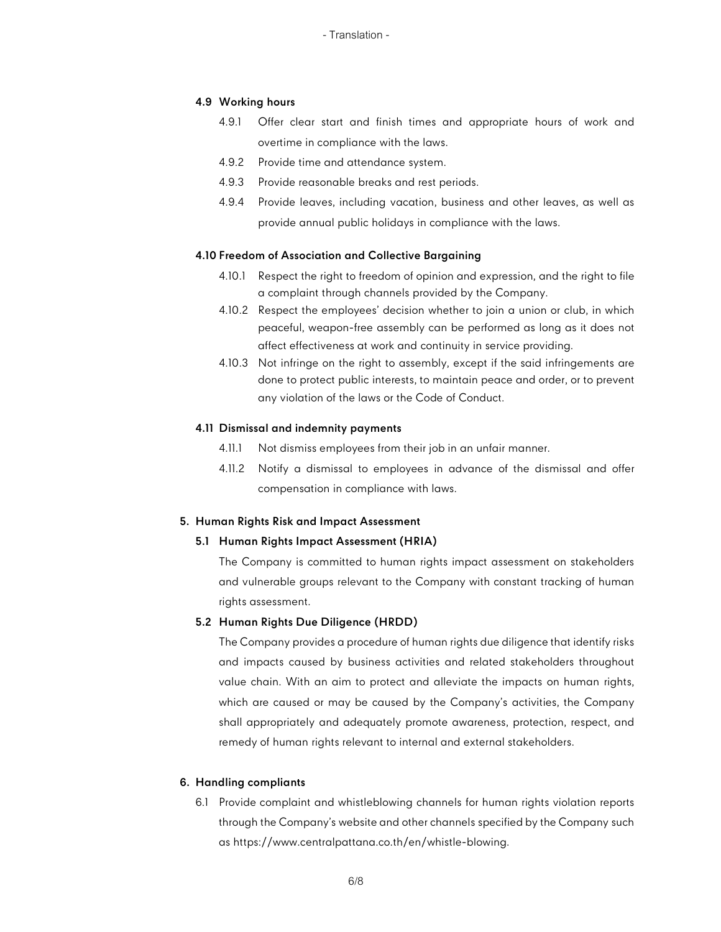#### **4.9 Working hours**

- 4.9.1 Offer clear start and finish times and appropriate hours of work and overtime in compliance with the laws.
- 4.9.2 Provide time and attendance system.
- 4.9.3 Provide reasonable breaks and rest periods.
- 4.9.4 Provide leaves, including vacation, business and other leaves, as well as provide annual public holidays in compliance with the laws.

## **4.10 Freedom of Association and Collective Bargaining**

- 4.10.1 Respect the right to freedom of opinion and expression, and the right to file a complaint through channels provided by the Company.
- 4.10.2 Respect the employees' decision whether to join a union or club, in which peaceful, weapon-free assembly can be performed as long as it does not affect effectiveness at work and continuity in service providing.
- 4.10.3 Not infringe on the right to assembly, except if the said infringements are done to protect public interests, to maintain peace and order, or to prevent any violation of the laws or the Code of Conduct.

#### **4.11 Dismissal and indemnity payments**

- 4.11.1 Not dismiss employees from their job in an unfair manner.
- 4.11.2 Notify a dismissal to employees in advance of the dismissal and offer compensation in compliance with laws.

#### **5. Human Rights Risk and Impact Assessment**

#### **5.1 Human Rights Impact Assessment (HRIA)**

The Company is committed to human rights impact assessment on stakeholders and vulnerable groups relevant to the Company with constant tracking of human rights assessment.

# **5.2 Human Rights Due Diligence (HRDD)**

The Company provides a procedure of human rights due diligence that identify risks and impacts caused by business activities and related stakeholders throughout value chain. With an aim to protect and alleviate the impacts on human rights, which are caused or may be caused by the Company's activities, the Company shall appropriately and adequately promote awareness, protection, respect, and remedy of human rights relevant to internal and external stakeholders.

## **6. Handling compliants**

6.1 Provide complaint and whistleblowing channels for human rights violation reports through the Company's website and other channels specified by the Company such as https://www.centralpattana.co.th/en/whistle-blowing.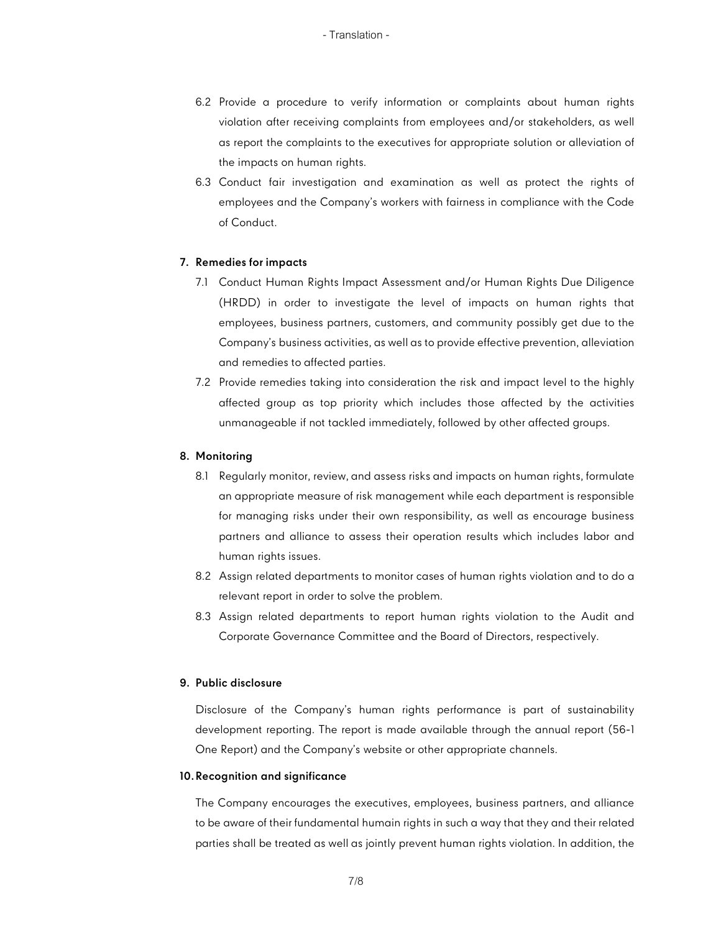- 6.2 Provide a procedure to verify information or complaints about human rights violation after receiving complaints from employees and/or stakeholders, as well as report the complaints to the executives for appropriate solution or alleviation of the impacts on human rights.
- 6.3 Conduct fair investigation and examination as well as protect the rights of employees and the Company's workers with fairness in compliance with the Code of Conduct.

## **7. Remedies for impacts**

- 7.1 Conduct Human Rights Impact Assessment and/or Human Rights Due Diligence (HRDD) in order to investigate the level of impacts on human rights that employees, business partners, customers, and community possibly get due to the Company's business activities, as well as to provide effective prevention, alleviation and remedies to affected parties.
- 7.2 Provide remedies taking into consideration the risk and impact level to the highly affected group as top priority which includes those affected by the activities unmanageable if not tackled immediately, followed by other affected groups.

## **8. Monitoring**

- 8.1 Regularly monitor, review, and assess risks and impacts on human rights, formulate an appropriate measure of risk management while each department is responsible for managing risks under their own responsibility, as well as encourage business partners and alliance to assess their operation results which includes labor and human rights issues.
- 8.2 Assign related departments to monitor cases of human rights violation and to do a relevant report in order to solve the problem.
- 8.3 Assign related departments to report human rights violation to the Audit and Corporate Governance Committee and the Board of Directors, respectively.

# **9. Public disclosure**

Disclosure of the Company's human rights performance is part of sustainability development reporting. The report is made available through the annual report (56-1 One Report) and the Company's website or other appropriate channels.

## **10.Recognition and significance**

The Company encourages the executives, employees, business partners, and alliance to be aware of their fundamental humain rights in such a way that they and their related parties shall be treated as well as jointly prevent human rights violation. In addition, the